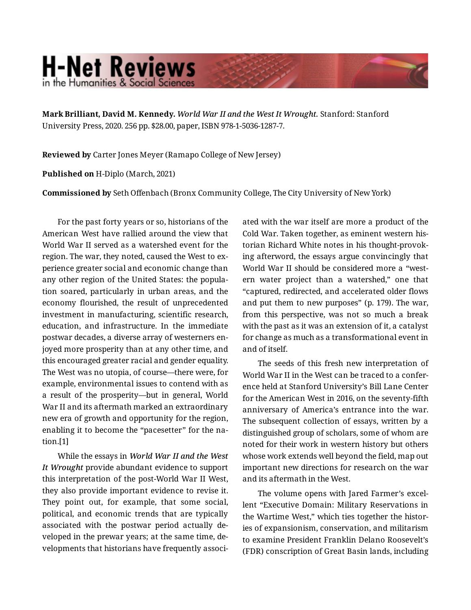## **H-Net Reviews** in the Humanities & Social Scienc

**Mark Brilliant, David M. Kennedy.** *World War II and the West It Wrought.* Stanford: Stanford University Press, 2020. 256 pp. \$28.00, paper, ISBN 978-1-5036-1287-7.

**Reviewed by** Carter Jones Meyer (Ramapo College of New Jersey)

**Published on** H-Diplo (March, 2021)

**Commissioned by** Seth Offenbach (Bronx Community College, The City University of New York)

For the past forty years or so, historians of the American West have rallied around the view that World War II served as a watershed event for the region. The war, they noted, caused the West to ex‐ perience greater social and economic change than any other region of the United States: the popula‐ tion soared, particularly in urban areas, and the economy flourished, the result of unprecedented investment in manufacturing, scientific research, education, and infrastructure. In the immediate postwar decades, a diverse array of westerners en‐ joyed more prosperity than at any other time, and this encouraged greater racial and gender equality. The West was no utopia, of course—there were, for example, environmental issues to contend with as a result of the prosperity—but in general, World War II and its aftermath marked an extraordinary new era of growth and opportunity for the region, enabling it to become the "pacesetter" for the na‐ tion.[1]

While the essays in *World War II and the West It Wrought* provide abundant evidence to support this interpretation of the post-World War II West, they also provide important evidence to revise it. They point out, for example, that some social, political, and economic trends that are typically associated with the postwar period actually de‐ veloped in the prewar years; at the same time, de‐ velopments that historians have frequently associ‐

ated with the war itself are more a product of the Cold War. Taken together, as eminent western his‐ torian Richard White notes in his thought-provok‐ ing afterword, the essays argue convincingly that World War II should be considered more a "west‐ ern water project than a watershed," one that "captured, redirected, and accelerated older flows and put them to new purposes" (p. 179). The war, from this perspective, was not so much a break with the past as it was an extension of it, a catalyst for change as much as a transformational event in and of itself.

The seeds of this fresh new interpretation of World War II in the West can be traced to a confer‐ ence held at Stanford University's Bill Lane Center for the American West in 2016, on the seventy-fifth anniversary of America's entrance into the war. The subsequent collection of essays, written by a distinguished group of scholars, some of whom are noted for their work in western history but others whose work extends well beyond the field, map out important new directions for research on the war and its aftermath in the West.

The volume opens with Jared Farmer's excel‐ lent "Executive Domain: Military Reservations in the Wartime West," which ties together the histor‐ ies of expansionism, conservation, and militarism to examine President Franklin Delano Roosevelt's (FDR) conscription of Great Basin lands, including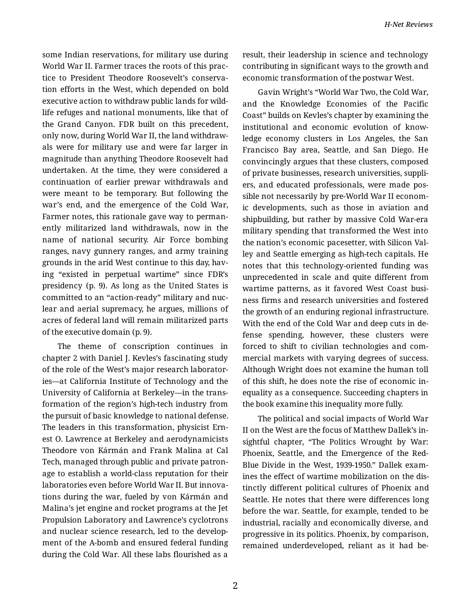some Indian reservations, for military use during World War II. Farmer traces the roots of this prac‐ tice to President Theodore Roosevelt's conserva‐ tion efforts in the West, which depended on bold executive action to withdraw public lands for wild‐ life refuges and national monuments, like that of the Grand Canyon. FDR built on this precedent, only now, during World War II, the land withdraw‐ als were for military use and were far larger in magnitude than anything Theodore Roosevelt had undertaken. At the time, they were considered a continuation of earlier prewar withdrawals and were meant to be temporary. But following the war's end, and the emergence of the Cold War, Farmer notes, this rationale gave way to perman‐ ently militarized land withdrawals, now in the name of national security. Air Force bombing ranges, navy gunnery ranges, and army training grounds in the arid West continue to this day, hav‐ ing "existed in perpetual wartime" since FDR's presidency (p. 9). As long as the United States is committed to an "action-ready" military and nuc‐ lear and aerial supremacy, he argues, millions of acres of federal land will remain militarized parts of the executive domain (p. 9).

The theme of conscription continues in chapter 2 with Daniel J. Kevles's fascinating study of the role of the West's major research laborator‐ ies—at California Institute of Technology and the University of California at Berkeley—in the trans‐ formation of the region's high-tech industry from the pursuit of basic knowledge to national defense. The leaders in this transformation, physicist Ern‐ est O. Lawrence at Berkeley and aerodynamicists Theodore von Kármán and Frank Malina at Cal Tech, managed through public and private patron‐ age to establish a world-class reputation for their laboratories even before World War II. But innova‐ tions during the war, fueled by von Kármán and Malina's jet engine and rocket programs at the Jet Propulsion Laboratory and Lawrence's cyclotrons and nuclear science research, led to the develop‐ ment of the A-bomb and ensured federal funding during the Cold War. All these labs flourished as a

result, their leadership in science and technology contributing in significant ways to the growth and economic transformation of the postwar West.

Gavin Wright's "World War Two, the Cold War, and the Knowledge Economies of the Pacific Coast" builds on Kevles's chapter by examining the institutional and economic evolution of know‐ ledge economy clusters in Los Angeles, the San Francisco Bay area, Seattle, and San Diego. He convincingly argues that these clusters, composed of private businesses, research universities, suppli‐ ers, and educated professionals, were made pos‐ sible not necessarily by pre-World War II econom‐ ic developments, such as those in aviation and shipbuilding, but rather by massive Cold War-era military spending that transformed the West into the nation's economic pacesetter, with Silicon Val‐ ley and Seattle emerging as high-tech capitals. He notes that this technology-oriented funding was unprecedented in scale and quite different from wartime patterns, as it favored West Coast busi‐ ness firms and research universities and fostered the growth of an enduring regional infrastructure. With the end of the Cold War and deep cuts in de‐ fense spending, however, these clusters were forced to shift to civilian technologies and com‐ mercial markets with varying degrees of success. Although Wright does not examine the human toll of this shift, he does note the rise of economic in‐ equality as a consequence. Succeeding chapters in the book examine this inequality more fully.

The political and social impacts of World War II on the West are the focus of Matthew Dallek's in‐ sightful chapter, "The Politics Wrought by War: Phoenix, Seattle, and the Emergence of the Red-Blue Divide in the West, 1939-1950." Dallek exam‐ ines the effect of wartime mobilization on the dis‐ tinctly different political cultures of Phoenix and Seattle. He notes that there were differences long before the war. Seattle, for example, tended to be industrial, racially and economically diverse, and progressive in its politics. Phoenix, by comparison, remained underdeveloped, reliant as it had be‐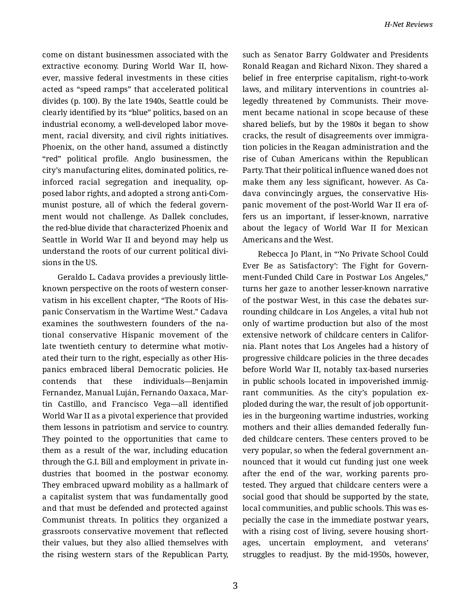come on distant businessmen associated with the extractive economy. During World War II, how‐ ever, massive federal investments in these cities acted as "speed ramps" that accelerated political divides (p. 100). By the late 1940s, Seattle could be clearly identified by its "blue" politics, based on an industrial economy, a well-developed labor move‐ ment, racial diversity, and civil rights initiatives. Phoenix, on the other hand, assumed a distinctly "red" political profile. Anglo businessmen, the city's manufacturing elites, dominated politics, re‐ inforced racial segregation and inequality, op‐ posed labor rights, and adopted a strong anti-Com‐ munist posture, all of which the federal govern‐ ment would not challenge. As Dallek concludes, the red-blue divide that characterized Phoenix and Seattle in World War II and beyond may help us understand the roots of our current political divi‐ sions in the US.

Geraldo L. Cadava provides a previously littleknown perspective on the roots of western conser‐ vatism in his excellent chapter, "The Roots of His‐ panic Conservatism in the Wartime West." Cadava examines the southwestern founders of the na‐ tional conservative Hispanic movement of the late twentieth century to determine what motivated their turn to the right, especially as other His‐ panics embraced liberal Democratic policies. He contends that these individuals—Benjamin Fernandez, Manual Luján, Fernando Oaxaca, Mar‐ tin Castillo, and Francisco Vega—all identified World War II as a pivotal experience that provided them lessons in patriotism and service to country. They pointed to the opportunities that came to them as a result of the war, including education through the G.I. Bill and employment in private in‐ dustries that boomed in the postwar economy. They embraced upward mobility as a hallmark of a capitalist system that was fundamentally good and that must be defended and protected against Communist threats. In politics they organized a grassroots conservative movement that reflected their values, but they also allied themselves with the rising western stars of the Republican Party, such as Senator Barry Goldwater and Presidents Ronald Reagan and Richard Nixon. They shared a belief in free enterprise capitalism, right-to-work laws, and military interventions in countries al‐ legedly threatened by Communists. Their move‐ ment became national in scope because of these shared beliefs, but by the 1980s it began to show cracks, the result of disagreements over immigra‐ tion policies in the Reagan administration and the rise of Cuban Americans within the Republican Party. That their political influence waned does not make them any less significant, however. As Ca‐ dava convincingly argues, the conservative His‐ panic movement of the post-World War II era of‐ fers us an important, if lesser-known, narrative about the legacy of World War II for Mexican Americans and the West.

Rebecca Jo Plant, in "'No Private School Could Ever Be as Satisfactory': The Fight for Govern‐ ment-Funded Child Care in Postwar Los Angeles," turns her gaze to another lesser-known narrative of the postwar West, in this case the debates sur‐ rounding childcare in Los Angeles, a vital hub not only of wartime production but also of the most extensive network of childcare centers in Califor‐ nia. Plant notes that Los Angeles had a history of progressive childcare policies in the three decades before World War II, notably tax-based nurseries in public schools located in impoverished immigrant communities. As the city's population exploded during the war, the result of job opportunit‐ ies in the burgeoning wartime industries, working mothers and their allies demanded federally fun‐ ded childcare centers. These centers proved to be very popular, so when the federal government an‐ nounced that it would cut funding just one week after the end of the war, working parents pro‐ tested. They argued that childcare centers were a social good that should be supported by the state, local communities, and public schools. This was es‐ pecially the case in the immediate postwar years, with a rising cost of living, severe housing short‐ ages, uncertain employment, and veterans' struggles to readjust. By the mid-1950s, however,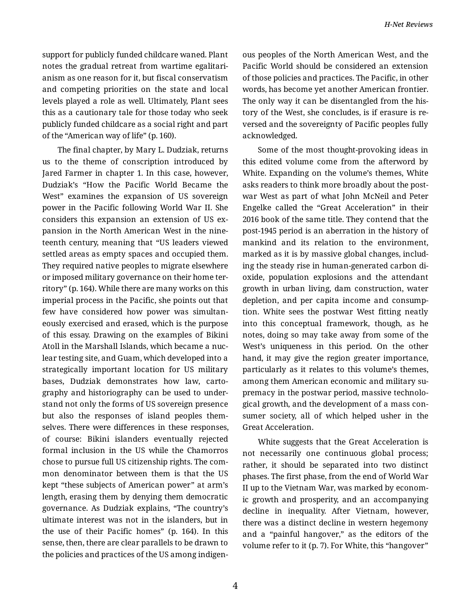support for publicly funded childcare waned. Plant notes the gradual retreat from wartime egalitari‐ anism as one reason for it, but fiscal conservatism and competing priorities on the state and local levels played a role as well. Ultimately, Plant sees this as a cautionary tale for those today who seek publicly funded childcare as a social right and part of the "American way of life" (p. 160).

The final chapter, by Mary L. Dudziak, returns us to the theme of conscription introduced by Jared Farmer in chapter 1. In this case, however, Dudziak's "How the Pacific World Became the West" examines the expansion of US sovereign power in the Pacific following World War II. She considers this expansion an extension of US ex‐ pansion in the North American West in the nine‐ teenth century, meaning that "US leaders viewed settled areas as empty spaces and occupied them. They required native peoples to migrate elsewhere or imposed military governance on their home ter‐ ritory" (p. 164). While there are many works on this imperial process in the Pacific, she points out that few have considered how power was simultan‐ eously exercised and erased, which is the purpose of this essay. Drawing on the examples of Bikini Atoll in the Marshall Islands, which became a nuc‐ lear testing site, and Guam, which developed into a strategically important location for US military bases, Dudziak demonstrates how law, carto‐ graphy and historiography can be used to under‐ stand not only the forms of US sovereign presence but also the responses of island peoples them‐ selves. There were differences in these responses, of course: Bikini islanders eventually rejected formal inclusion in the US while the Chamorros chose to pursue full US citizenship rights. The com‐ mon denominator between them is that the US kept "these subjects of American power" at arm's length, erasing them by denying them democratic governance. As Dudziak explains, "The country's ultimate interest was not in the islanders, but in the use of their Pacific homes" (p. 164). In this sense, then, there are clear parallels to be drawn to the policies and practices of the US among indigen‐

ous peoples of the North American West, and the Pacific World should be considered an extension of those policies and practices. The Pacific, in other words, has become yet another American frontier. The only way it can be disentangled from the his‐ tory of the West, she concludes, is if erasure is re‐ versed and the sovereignty of Pacific peoples fully acknowledged.

Some of the most thought-provoking ideas in this edited volume come from the afterword by White. Expanding on the volume's themes, White asks readers to think more broadly about the post‐ war West as part of what John McNeil and Peter Engelke called the "Great Acceleration" in their 2016 book of the same title. They contend that the post-1945 period is an aberration in the history of mankind and its relation to the environment, marked as it is by massive global changes, includ‐ ing the steady rise in human-generated carbon di‐ oxide, population explosions and the attendant growth in urban living, dam construction, water depletion, and per capita income and consump‐ tion. White sees the postwar West fitting neatly into this conceptual framework, though, as he notes, doing so may take away from some of the West's uniqueness in this period. On the other hand, it may give the region greater importance, particularly as it relates to this volume's themes, among them American economic and military su‐ premacy in the postwar period, massive technolo‐ gical growth, and the development of a mass con‐ sumer society, all of which helped usher in the Great Acceleration.

White suggests that the Great Acceleration is not necessarily one continuous global process; rather, it should be separated into two distinct phases. The first phase, from the end of World War II up to the Vietnam War, was marked by econom‐ ic growth and prosperity, and an accompanying decline in inequality. After Vietnam, however, there was a distinct decline in western hegemony and a "painful hangover," as the editors of the volume refer to it (p. 7). For White, this "hangover"

4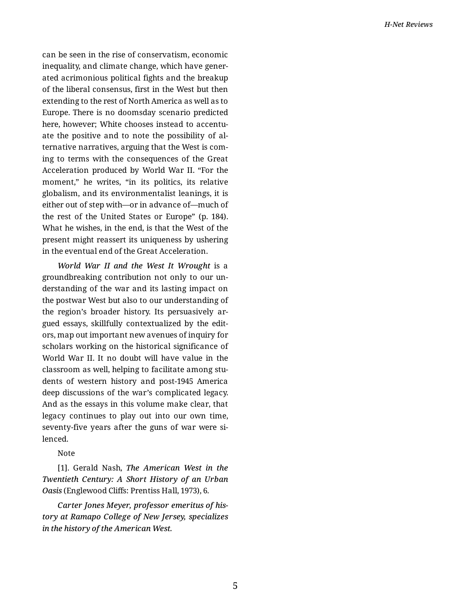can be seen in the rise of conservatism, economic inequality, and climate change, which have gener‐ ated acrimonious political fights and the breakup of the liberal consensus, first in the West but then extending to the rest of North America as well as to Europe. There is no doomsday scenario predicted here, however; White chooses instead to accentuate the positive and to note the possibility of al‐ ternative narratives, arguing that the West is com‐ ing to terms with the consequences of the Great Acceleration produced by World War II. "For the moment," he writes, "in its politics, its relative globalism, and its environmentalist leanings, it is either out of step with—or in advance of—much of the rest of the United States or Europe" (p. 184). What he wishes, in the end, is that the West of the present might reassert its uniqueness by ushering in the eventual end of the Great Acceleration.

*World War II and the West It Wrought* is a groundbreaking contribution not only to our un‐ derstanding of the war and its lasting impact on the postwar West but also to our understanding of the region's broader history. Its persuasively ar‐ gued essays, skillfully contextualized by the edit‐ ors, map out important new avenues of inquiry for scholars working on the historical significance of World War II. It no doubt will have value in the classroom as well, helping to facilitate among stu‐ dents of western history and post-1945 America deep discussions of the war's complicated legacy. And as the essays in this volume make clear, that legacy continues to play out into our own time, seventy-five years after the guns of war were silenced.

Note

[1]. Gerald Nash, *The American West in the Twentieth Century: A Short History of an Urban Oasis* (Englewood Cliffs: Prentiss Hall, 1973), 6.

*Carter Jones Meyer, professor emeritus of his‐ tory at Ramapo College of New Jersey, specializes in the history of the American West.*